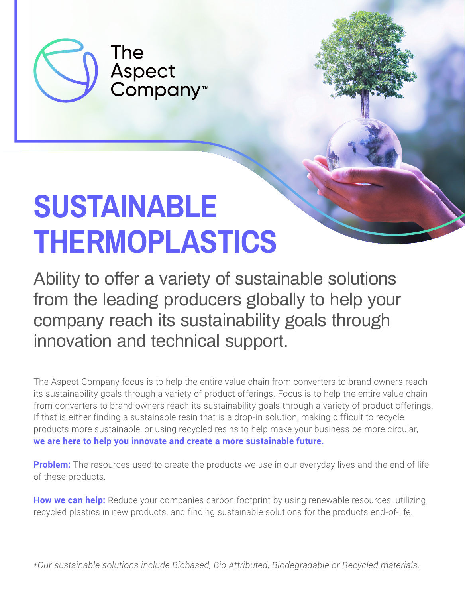

The **Aspect<br>Company<sup>™</sup>** 

# **SUSTAINABLE THERMOPLASTICS**

Ability to offer a variety of sustainable solutions from the leading producers globally to help your company reach its sustainability goals through innovation and technical support.

The Aspect Company focus is to help the entire value chain from converters to brand owners reach its sustainability goals through a variety of product offerings. Focus is to help the entire value chain from converters to brand owners reach its sustainability goals through a variety of product offerings. If that is either finding a sustainable resin that is a drop-in solution, making difficult to recycle products more sustainable, or using recycled resins to help make your business be more circular, **we are here to help you innovate and create a more sustainable future.**

**Problem:** The resources used to create the products we use in our everyday lives and the end of life of these products.

**How we can help:** Reduce your companies carbon footprint by using renewable resources, utilizing recycled plastics in new products, and finding sustainable solutions for the products end-of-life.

*\*Our sustainable solutions include Biobased, Bio Attributed, Biodegradable or Recycled materials.*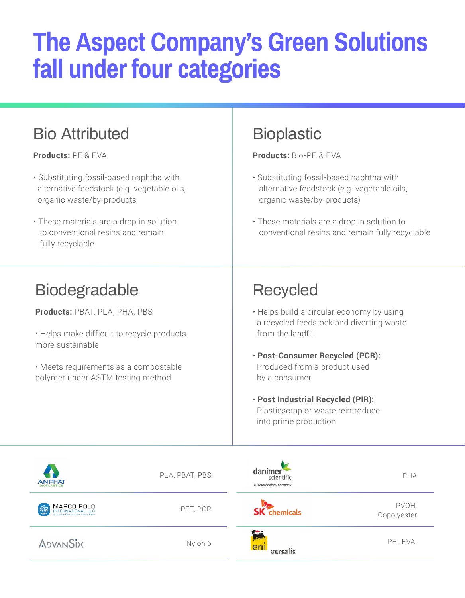## **The Aspect Company's Green Solutions fall under four categories**

## Bio Attributed Bioplastic

**Products:** PE & EVA

- Substituting fossil-based naphtha with alternative feedstock (e.g. vegetable oils, organic waste/by-products
- These materials are a drop in solution to conventional resins and remain fully recyclable

**Products:** Bio-PE & EVA

- Substituting fossil-based naphtha with alternative feedstock (e.g. vegetable oils, organic waste/by-products)
- These materials are a drop in solution to conventional resins and remain fully recyclable

### Biodegradable Recycled

**Products:** PBAT, PLA, PHA, PBS

• Helps make difficult to recycle products more sustainable

• Meets requirements as a compostable polymer under ASTM testing method

- Helps build a circular economy by using a recycled feedstock and diverting waste from the landfill
- **Post-Consumer Recycled (PCR):** Produced from a product used by a consumer
- **Post Industrial Recycled (PIR):** Plasticscrap or waste reintroduce into prime production